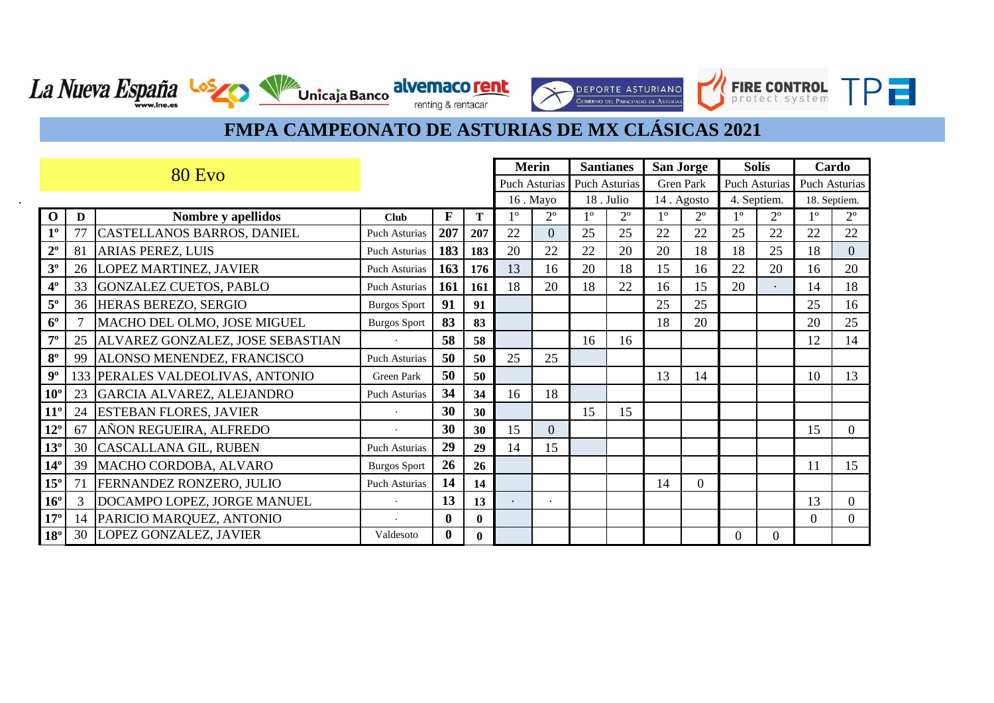**DEPORTE ASTURIANO** 

FIRE CONTROL TPT

Unicaja Banco divernaco rent

| <b>80 Evo</b>  |    |                                  |                      |              |              | <b>Merin</b> |                      | <b>Santianes</b><br>San Jorge |                      |            | <b>Solís</b> |                  | Cardo          |                |              |
|----------------|----|----------------------------------|----------------------|--------------|--------------|--------------|----------------------|-------------------------------|----------------------|------------|--------------|------------------|----------------|----------------|--------------|
|                |    |                                  |                      |              |              |              | <b>Puch Asturias</b> |                               | <b>Puch Asturias</b> | Gren Park  |              | Puch Asturias    |                | Puch Asturias  |              |
|                |    |                                  |                      |              |              |              | 16. Mayo             |                               | 18. Julio            | 14. Agosto |              | 4. Septiem.      |                |                | 18. Septiem. |
| $\Omega$       | D  | Nombre y apellidos               | <b>Club</b>          | F            | Т            | $1^{\circ}$  | $2^{\circ}$          | 1 <sup>o</sup>                | $2^{\circ}$          | 10         | $2^{\circ}$  | $1^{\circ}$      | $2^{\circ}$    | 1 <sup>0</sup> | $2^{\circ}$  |
| $1^{\circ}$    | 77 | CASTELLANOS BARROS, DANIEL       | Puch Asturias        | 207          | 207          | 22           | $\overline{0}$       | 25                            | 25                   | 22         | 22           | 25               | 22             | 22             | 22           |
| $2^{\circ}$    | 81 | <b>ARIAS PEREZ, LUIS</b>         | Puch Asturias        | 183          | 183          | 20           | 22                   | 22                            | 20                   | 20         | 18           | 18               | 25             | 18             | $\Omega$     |
| 3 <sup>o</sup> | 26 | <b>LOPEZ MARTINEZ, JAVIER</b>    | Puch Asturias        | 163          | 176          | 13           | 16                   | 20                            | 18                   | 15         | 16           | 22               | 20             | 16             | 20           |
| 4 <sup>°</sup> | 33 | GONZALEZ CUETOS, PABLO           | Puch Asturias        | 161          | 161          | 18           | 20                   | 18                            | 22                   | 16         | 15           | 20               | $\bullet$      | 14             | 18           |
| $5^{\rm o}$    |    | 36 HERAS BEREZO, SERGIO          | <b>Burgos Sport</b>  | 91           | 91           |              |                      |                               |                      | 25         | 25           |                  |                | 25             | 16           |
| $6^{\circ}$    |    | MACHO DEL OLMO, JOSE MIGUEL      | <b>Burgos Sport</b>  | 83           | 83           |              |                      |                               |                      | 18         | 20           |                  |                | 20             | 25           |
| $7^{\circ}$    | 25 | ALVAREZ GONZALEZ, JOSE SEBASTIAN |                      | 58           | 58           |              |                      | 16                            | 16                   |            |              |                  |                | 12             | 14           |
| $8^{\rm o}$    | 99 | ALONSO MENENDEZ, FRANCISCO       | Puch Asturias        | 50           | 50           | 25           | 25                   |                               |                      |            |              |                  |                |                |              |
| $9^{\circ}$    |    | 133 PERALES VALDEOLIVAS, ANTONIO | <b>Green Park</b>    | 50           | 50           |              |                      |                               |                      | 13         | 14           |                  |                | 10             | 13           |
| $10^{\circ}$   | 23 | GARCIA ALVAREZ, ALEJANDRO        | <b>Puch Asturias</b> | 34           | 34           | 16           | 18                   |                               |                      |            |              |                  |                |                |              |
| $11^{\circ}$   | 24 | <b>ESTEBAN FLORES, JAVIER</b>    |                      | 30           | 30           |              |                      | 15                            | 15                   |            |              |                  |                |                |              |
| $12^{\circ}$   | 67 | AÑON REGUEIRA, ALFREDO           |                      | 30           | 30           | 15           | $\Omega$             |                               |                      |            |              |                  |                | 15             | 0            |
| $13^{\circ}$   | 30 | <b>CASCALLANA GIL, RUBEN</b>     | <b>Puch Asturias</b> | 29           | 29           | 14           | 15                   |                               |                      |            |              |                  |                |                |              |
| $14^{\circ}$   | 39 | MACHO CORDOBA, ALVARO            | <b>Burgos Sport</b>  | 26           | 26           |              |                      |                               |                      |            |              |                  |                | 11             | 15           |
| $15^{\circ}$   | 71 | FERNANDEZ RONZERO, JULIO         | <b>Puch Asturias</b> | 14           | 14           |              |                      |                               |                      | 14         | $\Omega$     |                  |                |                |              |
| $16^{\circ}$   | 3  | DOCAMPO LOPEZ, JORGE MANUEL      |                      | 13           | 13           |              | $\bullet$            |                               |                      |            |              |                  |                | 13             | $\Omega$     |
| $17^{\circ}$   | 14 | PARICIO MARQUEZ, ANTONIO         |                      | $\mathbf{0}$ | $\bf{0}$     |              |                      |                               |                      |            |              |                  |                | $\Omega$       | $\Omega$     |
| $18^{\circ}$   | 30 | <b>LOPEZ GONZALEZ, JAVIER</b>    | Valdesoto            | $\mathbf{0}$ | $\mathbf{0}$ |              |                      |                               |                      |            |              | $\boldsymbol{0}$ | $\overline{0}$ |                |              |

.

La Nueva España Los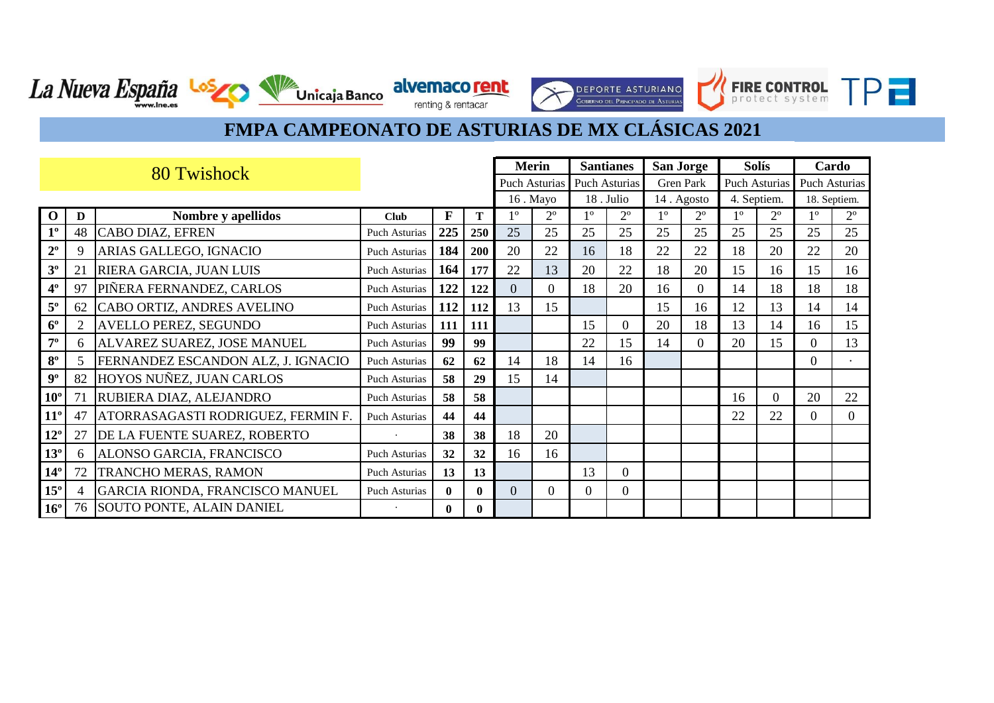**TPF** 

FIRE CONTROL

Г

**DEPORTE ASTURIANO** 

CONFRNO DEL PRINCIPADO DE ASTUR

Unicaja Banco alvemaco rent

La Nueva España Losz

|              | 80 Twishock |                                    |                      |              |              |                | <b>Merin</b>  | <b>Santianes</b> |                | San Jorge   |             | <b>Solís</b>  |             | Cardo         |              |
|--------------|-------------|------------------------------------|----------------------|--------------|--------------|----------------|---------------|------------------|----------------|-------------|-------------|---------------|-------------|---------------|--------------|
|              |             |                                    |                      |              |              |                | Puch Asturias |                  | Puch Asturias  |             | Gren Park   | Puch Asturias |             | Puch Asturias |              |
|              |             |                                    |                      |              |              |                | 16. Mayo      |                  | 18. Julio      |             | 14. Agosto  | 4. Septiem.   |             |               | 18. Septiem. |
| $\mathbf 0$  | D           | Nombre y apellidos                 | <b>Club</b>          | F            | T            | 10             | $2^{\circ}$   | $1^{\circ}$      | $2^{\circ}$    | $1^{\circ}$ | $2^{\circ}$ | $1^{\circ}$   | $2^{\circ}$ | 1°            | $2^{\circ}$  |
| $1^{\circ}$  | 48          | <b>CABO DIAZ, EFREN</b>            | <b>Puch Asturias</b> | 225          | 250          | 25             | 25            | 25               | 25             | 25          | 25          | 25            | 25          | 25            | 25           |
| $2^{\circ}$  | q           | ARIAS GALLEGO, IGNACIO             | <b>Puch Asturias</b> | 184          | 200          | 20             | 22            | 16               | 18             | 22          | 22          | 18            | 20          | 22            | 20           |
| $3^{\circ}$  | 21          | <b>RIERA GARCIA, JUAN LUIS</b>     | Puch Asturias        | 164          | 177          | 22             | 13            | 20               | 22             | 18          | 20          | 15            | 16          | 15            | 16           |
| $4^{\circ}$  | 97          | PIÑERA FERNANDEZ, CARLOS           | Puch Asturias        | 122          | 122          | $\overline{0}$ | 0             | 18               | 20             | 16          | $\Omega$    | 14            | 18          | 18            | 18           |
| $5^{\rm o}$  | 62          | CABO ORTIZ, ANDRES AVELINO         | Puch Asturias        | 112          | 112          | 13             | 15            |                  |                | 15          | 16          | 12            | 13          | 14            | 14           |
| $6^{\circ}$  | 2           | <b>AVELLO PEREZ, SEGUNDO</b>       | Puch Asturias        | 111          | 111          |                |               | 15               | $\overline{0}$ | 20          | 18          | 13            | 14          | 16            | 15           |
| $7^{\circ}$  | 6           | ALVAREZ SUAREZ, JOSE MANUEL        | <b>Puch Asturias</b> | 99           | 99           |                |               | 22               | 15             | 14          | $\Omega$    | 20            | 15          | $\Omega$      | 13           |
| $8^{\circ}$  | 5           | FERNANDEZ ESCANDON ALZ, J. IGNACIO | <b>Puch Asturias</b> | 62           | 62           | 14             | 18            | 14               | 16             |             |             |               |             | $\theta$      |              |
| $9^{\circ}$  | 82          | HOYOS NUÑEZ, JUAN CARLOS           | <b>Puch Asturias</b> | 58           | 29           | 15             | 14            |                  |                |             |             |               |             |               |              |
| $10^{\circ}$ | 71          | RUBIERA DIAZ, ALEJANDRO            | <b>Puch Asturias</b> | 58           | 58           |                |               |                  |                |             |             | 16            | 0           | 20            | 22           |
| $11^{\circ}$ | 47          | ATORRASAGASTI RODRIGUEZ, FERMIN F. | <b>Puch Asturias</b> | 44           | 44           |                |               |                  |                |             |             | 22            | 22          | 0             | $\Omega$     |
| $12^{\circ}$ | 27          | DE LA FUENTE SUAREZ, ROBERTO       |                      | 38           | 38           | 18             | 20            |                  |                |             |             |               |             |               |              |
| $13^{\circ}$ | 6           | ALONSO GARCIA, FRANCISCO           | Puch Asturias        | 32           | 32           | 16             | 16            |                  |                |             |             |               |             |               |              |
| $14^{\circ}$ | 72          | TRANCHO MERAS, RAMON               | <b>Puch Asturias</b> | 13           | 13           |                |               | 13               | $\overline{0}$ |             |             |               |             |               |              |
| $15^{\circ}$ |             | GARCIA RIONDA, FRANCISCO MANUEL    | Puch Asturias        | $\mathbf{0}$ | $\mathbf{0}$ | $\overline{0}$ | $\Omega$      | $\Omega$         | $\overline{0}$ |             |             |               |             |               |              |
| $16^{\circ}$ |             | 76 SOUTO PONTE, ALAIN DANIEL       |                      | $\mathbf{0}$ | $\mathbf{0}$ |                |               |                  |                |             |             |               |             |               |              |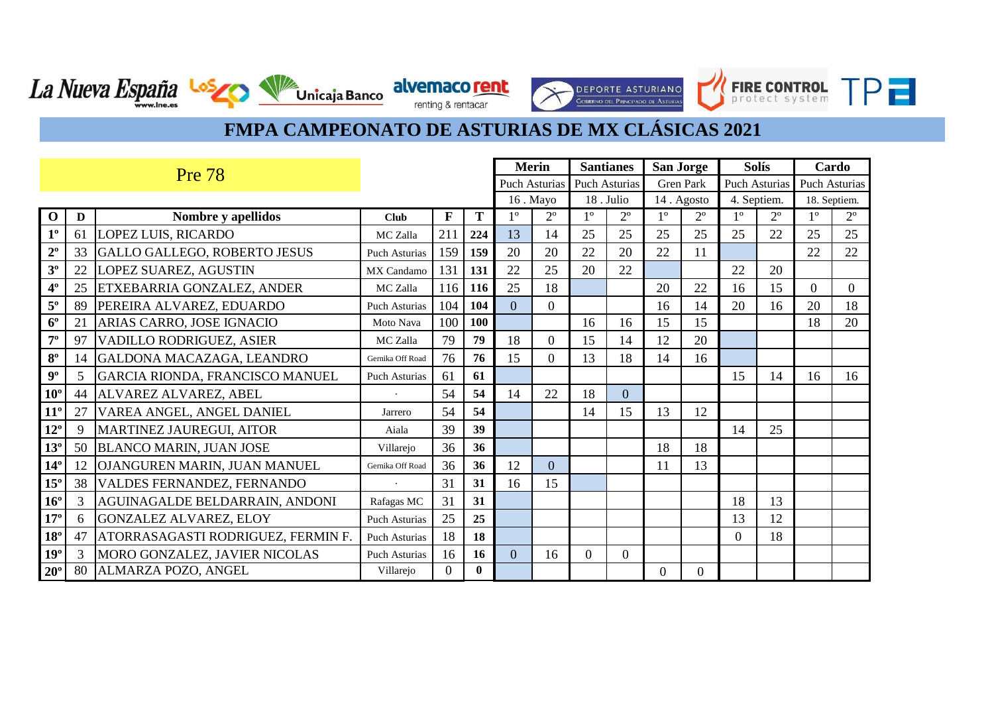renting & rentacar

**DEPORTE ASTURIANO** CORRENO DEL PONICIONO DE ASTU

FIRE CONTROL TP -

Unicaja Banco due maco rent

La Nueva España Los

|                | <b>Pre 78</b> |                                    |                      |             |              |                | <b>Merin</b>         |             | <b>Santianes</b>     |             | <b>San Jorge</b> | <b>Solís</b>         |             | Cardo         |             |
|----------------|---------------|------------------------------------|----------------------|-------------|--------------|----------------|----------------------|-------------|----------------------|-------------|------------------|----------------------|-------------|---------------|-------------|
|                |               |                                    |                      |             |              |                | <b>Puch Asturias</b> |             | <b>Puch Asturias</b> |             | Gren Park        | <b>Puch Asturias</b> |             | Puch Asturias |             |
|                |               |                                    |                      |             |              |                | 16. Mayo             |             | 18. Julio            | 14. Agosto  |                  | 4. Septiem.          |             | 18. Septiem.  |             |
| $\mathbf 0$    | D             | Nombre y apellidos                 | <b>Club</b>          | $\mathbf F$ | T            | 1 <sup>0</sup> | $2^{\circ}$          | $1^{\circ}$ | $2^{\circ}$          | $1^{\circ}$ | $2^{\circ}$      | $1^{\circ}$          | $2^{\circ}$ | $1^{\circ}$   | $2^{\circ}$ |
| $1^{\circ}$    | 61            | <b>LOPEZ LUIS, RICARDO</b>         | MC Zalla             | 211         | 224          | 13             | 14                   | 25          | 25                   | 25          | 25               | 25                   | 22          | 25            | 25          |
| $2^{\circ}$    | 33            | GALLO GALLEGO, ROBERTO JESUS       | <b>Puch Asturias</b> | 159         | 159          | 20             | 20                   | 22          | 20                   | 22          | 11               |                      |             | 22            | 22          |
| $3^{\rm o}$    | 22            | LOPEZ SUAREZ, AGUSTIN              | MX Candamo           | 131         | 131          | 22             | 25                   | 20          | 22                   |             |                  | 22                   | 20          |               |             |
| $4^{\rm o}$    | 25            | ETXEBARRIA GONZALEZ, ANDER         | MC Zalla             | 116         | 116          | 25             | 18                   |             |                      | 20          | 22               | 16                   | 15          | $\Omega$      | $\Omega$    |
| $5^{\rm o}$    | 89            | PEREIRA ALVAREZ, EDUARDO           | Puch Asturias        | 104         | 104          | $\Omega$       | $\overline{0}$       |             |                      | 16          | 14               | 20                   | 16          | 20            | 18          |
| $6^{\circ}$    | 21            | ARIAS CARRO, JOSE IGNACIO          | Moto Nava            | 100         | 100          |                |                      | 16          | 16                   | 15          | 15               |                      |             | 18            | 20          |
| $7^{\circ}$    | 97            | VADILLO RODRIGUEZ, ASIER           | MC Zalla             | 79          | 79           | 18             | $\overline{0}$       | 15          | 14                   | 12          | 20               |                      |             |               |             |
| $\mathbf{8^o}$ | 14            | GALDONA MACAZAGA, LEANDRO          | Gernika Off Road     | 76          | 76           | 15             | 0                    | 13          | 18                   | 14          | 16               |                      |             |               |             |
| $9^{\rm o}$    | 5             | GARCIA RIONDA, FRANCISCO MANUEL    | <b>Puch Asturias</b> | 61          | 61           |                |                      |             |                      |             |                  | 15                   | 14          | 16            | 16          |
| $10^{\circ}$   | 44            | <b>ALVAREZ ALVAREZ, ABEL</b>       |                      | 54          | 54           | 14             | 22                   | 18          | $\overline{0}$       |             |                  |                      |             |               |             |
| $11^{\circ}$   | 27            | VAREA ANGEL, ANGEL DANIEL          | Jarrero              | 54          | 54           |                |                      | 14          | 15                   | 13          | 12               |                      |             |               |             |
| $12^{\circ}$   | 9             | MARTINEZ JAUREGUI, AITOR           | Aiala                | 39          | 39           |                |                      |             |                      |             |                  | 14                   | 25          |               |             |
| $13^{\circ}$   | 50            | <b>BLANCO MARIN, JUAN JOSE</b>     | Villarejo            | 36          | 36           |                |                      |             |                      | 18          | 18               |                      |             |               |             |
| $14^{\circ}$   | 12            | OJANGUREN MARIN, JUAN MANUEL       | Gernika Off Road     | 36          | 36           | 12             | $\Omega$             |             |                      | 11          | 13               |                      |             |               |             |
| $15^{\circ}$   | 38            | VALDES FERNANDEZ, FERNANDO         |                      | 31          | 31           | 16             | 15                   |             |                      |             |                  |                      |             |               |             |
| $16^{\circ}$   | 3             | AGUINAGALDE BELDARRAIN, ANDONI     | Rafagas MC           | 31          | 31           |                |                      |             |                      |             |                  | 18                   | 13          |               |             |
| $17^{\circ}$   | 6             | <b>GONZALEZ ALVAREZ, ELOY</b>      | Puch Asturias        | 25          | 25           |                |                      |             |                      |             |                  | 13                   | 12          |               |             |
| $18^{\circ}$   | 47            | ATORRASAGASTI RODRIGUEZ, FERMIN F. | Puch Asturias        | 18          | 18           |                |                      |             |                      |             |                  | $\theta$             | 18          |               |             |
| $19^{\circ}$   |               | MORO GONZALEZ, JAVIER NICOLAS      | Puch Asturias        | 16          | 16           | $\overline{0}$ | 16                   | $\Omega$    | $\theta$             |             |                  |                      |             |               |             |
| $20^{\circ}$   | 80            | ALMARZA POZO, ANGEL                | Villarejo            | $\Omega$    | $\mathbf{0}$ |                |                      |             |                      | $\Omega$    | $\overline{0}$   |                      |             |               |             |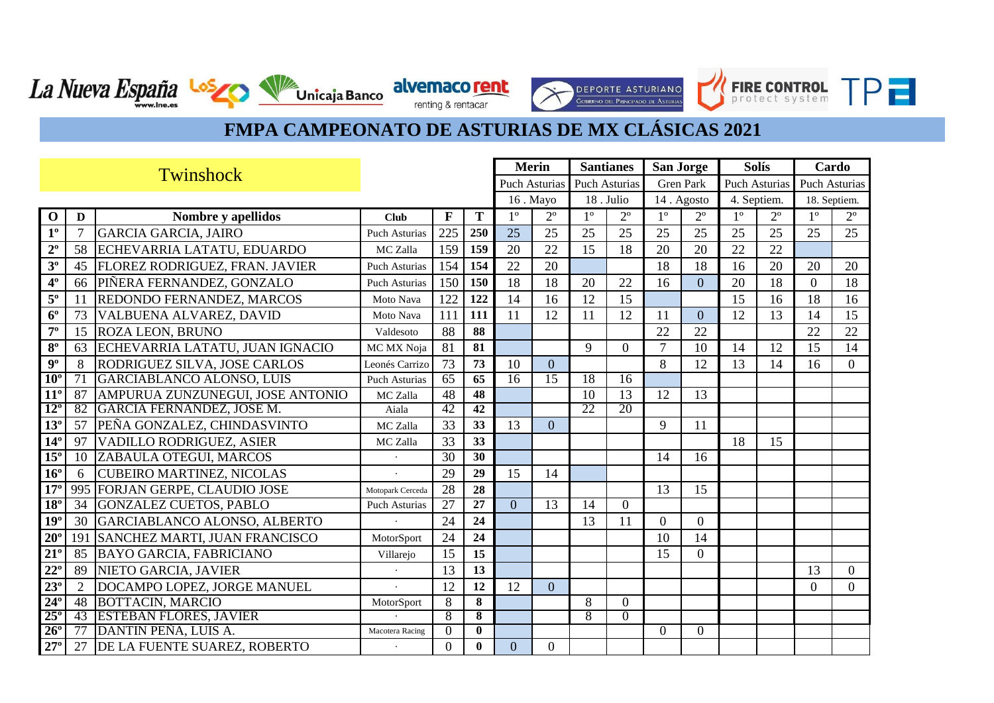FIRE CONTROL

Г

**DEPORTE ASTURIANO** 

CORREND DEL PRINCIPADO DE ASTIR

**TPF** 

Unicaja Banco alvemaco rent

La Nueva España Los

|                 | Twinshock       |                                      |                      |                 |                 | <b>Merin</b>    |                 | <b>Santianes</b> |                      | <b>San Jorge</b> |                  | <b>Solís</b> |                      | Cardo                |             |
|-----------------|-----------------|--------------------------------------|----------------------|-----------------|-----------------|-----------------|-----------------|------------------|----------------------|------------------|------------------|--------------|----------------------|----------------------|-------------|
|                 |                 |                                      |                      |                 |                 |                 | Puch Asturias   |                  | <b>Puch Asturias</b> |                  | <b>Gren Park</b> |              | <b>Puch Asturias</b> | <b>Puch Asturias</b> |             |
|                 |                 |                                      |                      |                 |                 |                 | 16. Mayo        |                  | 18. Julio            |                  | 14. Agosto       | 4. Septiem.  |                      | 18. Septiem.         |             |
| $\Omega$        | D               | Nombre y apellidos                   | <b>Club</b>          | F               | Т               | 1 <sup>0</sup>  | $2^{\circ}$     | 1 <sup>o</sup>   | $2^{\circ}$          | 10               | $2^{\circ}$      | 10           | $2^{\circ}$          | 1 <sup>0</sup>       | $2^{\circ}$ |
| 1 <sup>0</sup>  |                 | <b>GARCIA GARCIA, JAIRO</b>          | <b>Puch Asturias</b> | 225             | 250             | 25              | 25              | 25               | 25                   | 25               | 25               | 25           | 25                   | 25                   | 25          |
| $2^{\circ}$     | 58              | ECHEVARRIA LATATU, EDUARDO           | MC Zalla             | 159             | 159             | 20              | 22              | 15               | 18                   | 20               | 20               | 22           | 22                   |                      |             |
| 3 <sup>0</sup>  | 45              | FLOREZ RODRIGUEZ, FRAN. JAVIER       | <b>Puch Asturias</b> | 154             | 154             | 22              | 20              |                  |                      | 18               | 18               | 16           | 20                   | 20                   | 20          |
| 4 <sup>°</sup>  | 66              | PIÑERA FERNANDEZ, GONZALO            | <b>Puch Asturias</b> | 150             | 150             | 18              | 18              | 20               | 22                   | 16               | $\overline{0}$   | 20           | 18                   | $\Omega$             | 18          |
| $5^{\rm o}$     | 11              | REDONDO FERNANDEZ, MARCOS            | Moto Nava            | 122             | 122             | 14              | 16              | 12               | 15                   |                  |                  | 15           | 16                   | 18                   | 16          |
| $6^{\circ}$     | 73              | VALBUENA ALVAREZ, DAVID              | Moto Nava            | 111             | 111             | 11              | 12              | 11               | 12                   | 11               | $\Omega$         | 12           | 13                   | 14                   | 15          |
| $7^{\circ}$     | 15              | ROZA LEON, BRUNO                     | Valdesoto            | 88              | 88              |                 |                 |                  |                      | 22               | 22               |              |                      | 22                   | 22          |
| $8^{\circ}$     | 63              | ECHEVARRIA LATATU, JUAN IGNACIO      | MC MX Noja           | 81              | 81              |                 |                 | 9                | $\Omega$             | $\tau$           | 10               | 14           | 12                   | 15                   | 14          |
| $9^{\circ}$     | 8               | <b>RODRIGUEZ SILVA, JOSE CARLOS</b>  | Leonés Carrizo       | 73              | 73              | 10              | $\overline{0}$  |                  |                      | 8                | 12               | 13           | 14                   | 16                   | $\Omega$    |
| 10 <sup>c</sup> | $\overline{71}$ | GARCIABLANCO ALONSO, LUIS            | Puch Asturias        | 65              | 65              | $\overline{16}$ | $\overline{15}$ | 18               | $\overline{16}$      |                  |                  |              |                      |                      |             |
| $11^{\circ}$    | 87              | AMPURUA ZUNZUNEGUI, JOSE ANTONIO     | MC Zalla             | 48              | 48              |                 |                 | 10               | 13                   | 12               | 13               |              |                      |                      |             |
| $12^{\circ}$    | 82              | <b>GARCIA FERNANDEZ, JOSE M.</b>     | Aiala                | 42              | 42              |                 |                 | 22               | 20                   |                  |                  |              |                      |                      |             |
| $13^{\circ}$    | 57              | PEÑA GONZALEZ, CHINDASVINTO          | MC Zalla             | 33              | 33              | 13              | $\overline{0}$  |                  |                      | 9                | 11               |              |                      |                      |             |
| $14^{\circ}$    | 97              | VADILLO RODRIGUEZ, ASIER             | MC Zalla             | 33              | 33              |                 |                 |                  |                      |                  |                  | 18           | 15                   |                      |             |
| $15^\circ$      | 10              | ZABAULA OTEGUI, MARCOS               |                      | 30              | 30              |                 |                 |                  |                      | 14               | 16               |              |                      |                      |             |
| $16^{\circ}$    | 6               | <b>CUBEIRO MARTINEZ, NICOLAS</b>     |                      | 29              | 29              | 15              | 14              |                  |                      |                  |                  |              |                      |                      |             |
| 17 <sup>°</sup> |                 | 995 FORJAN GERPE, CLAUDIO JOSE       | Motopark Cerceda     | 28              | 28              |                 |                 |                  |                      | 13               | 15               |              |                      |                      |             |
| $18^\circ$      | 34              | GONZALEZ CUETOS, PABLO               | <b>Puch Asturias</b> | $\overline{27}$ | $\overline{27}$ | $\Omega$        | $\overline{13}$ | 14               | $\Omega$             |                  |                  |              |                      |                      |             |
| $19^{\circ}$    | 30              | GARCIABLANCO ALONSO, ALBERTO         |                      | 24              | 24              |                 |                 | 13               | 11                   | $\Omega$         | $\overline{0}$   |              |                      |                      |             |
| $20^{\circ}$    | 191             | <b>SANCHEZ MARTI, JUAN FRANCISCO</b> | MotorSport           | 24              | 24              |                 |                 |                  |                      | 10               | 14               |              |                      |                      |             |
| $21^{\circ}$    | 85              | <b>BAYO GARCIA, FABRICIANO</b>       | Villarejo            | 15              | 15              |                 |                 |                  |                      | 15               | $\overline{0}$   |              |                      |                      |             |
| $22^{\circ}$    | 89              | NIETO GARCIA, JAVIER                 |                      | 13              | 13              |                 |                 |                  |                      |                  |                  |              |                      | 13                   | $\theta$    |
| $23^\circ$      | $\overline{2}$  | DOCAMPO LOPEZ, JORGE MANUEL          |                      | 12              | 12              | 12              | $\overline{0}$  |                  |                      |                  |                  |              |                      | $\overline{0}$       | $\Omega$    |
| $24^\circ$      | 48              | <b>BOTTACIN, MARCIO</b>              | MotorSport           | 8               | 8               |                 |                 | 8                | $\Omega$             |                  |                  |              |                      |                      |             |
| $25^\circ$      | 43              | <b>ESTEBAN FLORES, JAVIER</b>        |                      | 8               | 8               |                 |                 | 8                | $\Omega$             |                  |                  |              |                      |                      |             |
| $26^\circ$      | 77              | DANTIN PENA, LUIS A.                 | Macotera Racing      | $\Omega$        | $\mathbf{0}$    |                 |                 |                  |                      | 0                | $\Omega$         |              |                      |                      |             |
| $27^{\circ}$    | 27              | DE LA FUENTE SUAREZ, ROBERTO         |                      | $\Omega$        | $\mathbf{0}$    | $\overline{0}$  | $\overline{0}$  |                  |                      |                  |                  |              |                      |                      |             |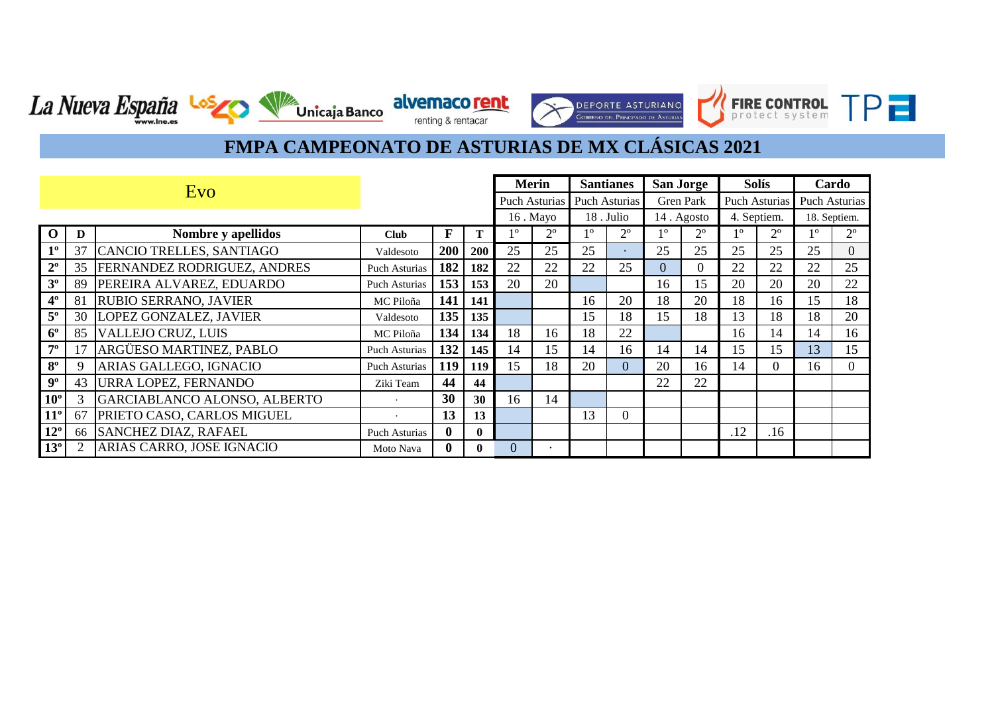**DEPORTE ASTURIANO**<br>GOBIERNO DEL PRINCIPADO DE ASTURIAS

FIRE CONTROL TP

La Nueva España Los Vanicaja Banco alvemaco rent

|                | Evo |                                    |                      |              |              |          | Merin         | <b>Santianes</b> |                      | <b>San Jorge</b> |                  | <b>Solís</b>         |                | Cardo         |              |
|----------------|-----|------------------------------------|----------------------|--------------|--------------|----------|---------------|------------------|----------------------|------------------|------------------|----------------------|----------------|---------------|--------------|
|                |     |                                    |                      |              |              |          | Puch Asturias |                  | <b>Puch Asturias</b> |                  | <b>Gren Park</b> | <b>Puch Asturias</b> |                | Puch Asturias |              |
|                |     |                                    |                      |              |              |          | 16. Mayo      |                  | 18. Julio            | 14. Agosto       |                  | 4. Septiem.          |                |               | 18. Septiem. |
| $\Omega$       | D   | Nombre y apellidos                 | <b>Club</b>          | $\mathbf{F}$ |              | 10       | $2^{\circ}$   | 10               | $2^{\circ}$          | 10               | $2^{\circ}$      | 10                   | $2^{\circ}$    | 10            | $2^{\circ}$  |
| $1^{\circ}$    | 37  | CANCIO TRELLES, SANTIAGO           | Valdesoto            | 200          | 200          | 25       | 25            | 25               |                      | 25               | 25               | 25                   | 25             | 25            | 0            |
| $2^{\circ}$    | 35  | <b>FERNANDEZ RODRIGUEZ, ANDRES</b> | <b>Puch Asturias</b> | 182          | 182          | 22       | 22            | 22               | 25                   | $\Omega$         | 0                | 22                   | 22             | 22            | 25           |
| $3^{\circ}$    | 89  | PEREIRA ALVAREZ, EDUARDO           | Puch Asturias        | 153          | 153          | 20       | 20            |                  |                      | 16               | 15               | 20                   | 20             | 20            | 22           |
| 4 <sup>°</sup> | 81  | <b>RUBIO SERRANO, JAVIER</b>       | MC Piloña            | 141          | 141          |          |               | 16               | 20                   | 18               | 20               | 18                   | 16             | 15            | 18           |
| $5^{\circ}$    | 30  | LOPEZ GONZALEZ, JAVIER             | Valdesoto            | 135          | 135          |          |               | 15               | 18                   | 15               | 18               | 13                   | 18             | 18            | 20           |
| $6^{\circ}$    | 85  | <b>VALLEJO CRUZ, LUIS</b>          | MC Piloña            | 134          | 134          | 18       | 16            | 18               | 22                   |                  |                  | 16                   | 14             | 14            | 16           |
| $7^{\circ}$    |     | ARGÜESO MARTINEZ, PABLO            | <b>Puch Asturias</b> | 132          | 145          | 14       | 15            | 14               | 16                   | 14               | 14               | 15                   | 15             | 13            | 15           |
| $8^{\circ}$    |     | ARIAS GALLEGO, IGNACIO             | Puch Asturias        | 119          | <b>119</b>   | 15       | 18            | 20               | $\Omega$             | 20               | 16               | 14                   | $\overline{0}$ | 16            |              |
| $9^{\circ}$    | 43  | URRA LOPEZ, FERNANDO               | Ziki Team            | 44           | 44           |          |               |                  |                      | 22               | 22               |                      |                |               |              |
| $10^{\circ}$   |     | GARCIABLANCO ALONSO, ALBERTO       |                      | 30           | 30           | 16       | 14            |                  |                      |                  |                  |                      |                |               |              |
| $11^{\circ}$   | 67  | PRIETO CASO, CARLOS MIGUEL         |                      | 13           | 13           |          |               | 13               | $\Omega$             |                  |                  |                      |                |               |              |
| $12^{\circ}$   |     | 66 SANCHEZ DIAZ, RAFAEL            | <b>Puch Asturias</b> | 0            | $\mathbf{0}$ |          |               |                  |                      |                  |                  | .12                  | .16            |               |              |
| $13^{\circ}$   |     | ARIAS CARRO, JOSE IGNACIO          | Moto Nava            |              | 0            | $\Omega$ |               |                  |                      |                  |                  |                      |                |               |              |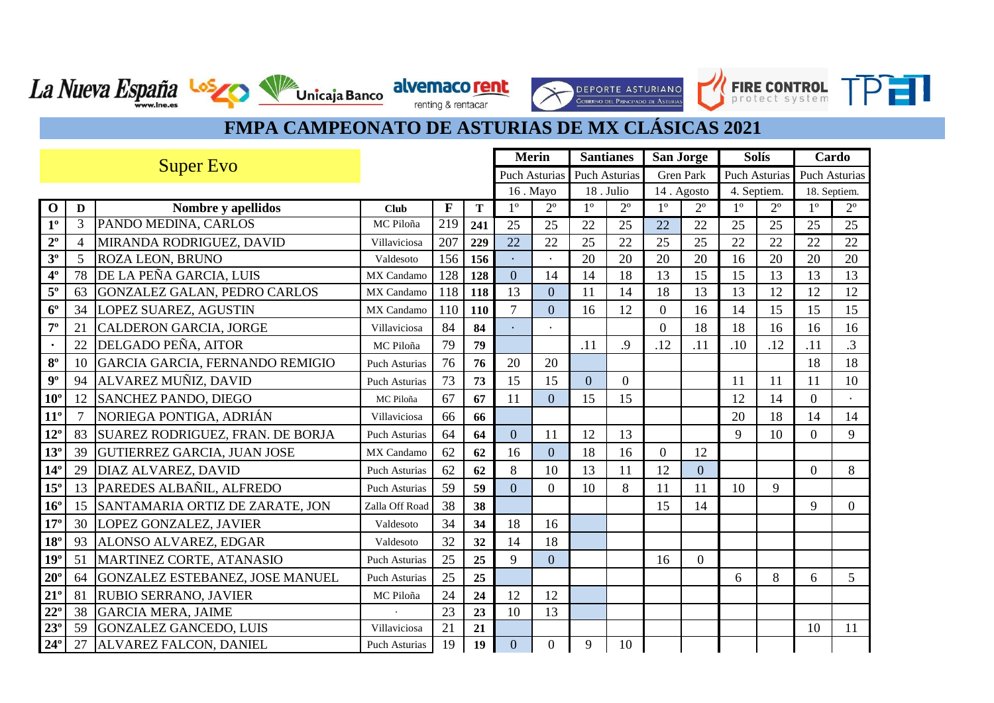$\rightarrow$ 

**DEPORTE ASTURIANO**<br>GOBERNO DEL PRINCIPADO DE ASTURIAS

FIRE CONTROL TPT

La Nueva España Los VIII Unicaja Banco alvemaco rent

|                 | <b>Super Evo</b> |                                     |                      |     |     | <b>Merin</b>   |                        | <b>Santianes</b>       |             | <b>San Jorge</b> |                        |             | <b>Solís</b>           | Cardo          |                |
|-----------------|------------------|-------------------------------------|----------------------|-----|-----|----------------|------------------------|------------------------|-------------|------------------|------------------------|-------------|------------------------|----------------|----------------|
|                 |                  |                                     |                      |     |     |                | <b>Puch Asturias</b>   | <b>Puch Asturias</b>   |             |                  | <b>Gren Park</b>       |             | <b>Puch Asturias</b>   | Puch Asturias  |                |
|                 |                  |                                     |                      |     |     |                | 16. Mayo               |                        | 18. Julio   |                  | 14. Agosto             | 4. Septiem. |                        | 18. Septiem.   |                |
| $\mathbf 0$     | D                | Nombre y apellidos                  | Club                 | F   | T   | $1^{\circ}$    | $\overline{2^{\circ}}$ | $\overline{1^{\circ}}$ | $2^{\circ}$ | $1^{\circ}$      | $\overline{2^{\circ}}$ | $1^{\circ}$ | $\overline{2^{\circ}}$ | $1^{\circ}$    | $2^{\circ}$    |
| 1 <sup>0</sup>  | 3                | PANDO MEDINA, CARLOS                | MC Piloña            | 219 | 241 | 25             | 25                     | 22                     | 25          | 22               | 22                     | 25          | 25                     | 25             | 25             |
| $2^{\circ}$     | 4                | MIRANDA RODRIGUEZ, DAVID            | Villaviciosa         | 207 | 229 | 22             | 22                     | 25                     | 22          | 25               | 25                     | 22          | 22                     | 22             | 22             |
| 3 <sup>o</sup>  | 5                | <b>ROZA LEON, BRUNO</b>             | Valdesoto            | 156 | 156 |                |                        | 20                     | 20          | 20               | 20                     | 16          | 20                     | 20             | 20             |
| $4^{\circ}$     | 78               | DE LA PEÑA GARCIA, LUIS             | MX Candamo           | 128 | 128 | $\overline{0}$ | 14                     | 14                     | 18          | 13               | 15                     | 15          | 13                     | 13             | 13             |
| $5^{\rm o}$     | 63               | <b>GONZALEZ GALAN, PEDRO CARLOS</b> | MX Candamo           | 118 | 118 | 13             | $\overline{0}$         | 11                     | 14          | 18               | 13                     | 13          | 12                     | 12             | 12             |
| $6^{\circ}$     | 34               | LOPEZ SUAREZ, AGUSTIN               | MX Candamo           | 110 | 110 | $\overline{7}$ | $\overline{0}$         | 16                     | 12          | $\Omega$         | 16                     | 14          | 15                     | 15             | 15             |
| $7^{\circ}$     | 21               | <b>CALDERON GARCIA, JORGE</b>       | Villaviciosa         | 84  | 84  |                |                        |                        |             | $\theta$         | 18                     | 18          | 16                     | 16             | 16             |
| $\bullet$       | 22               | DELGADO PEÑA, AITOR                 | MC Piloña            | 79  | 79  |                |                        | .11                    | 9.          | .12              | .11                    | .10         | .12                    | .11            | $\overline{3}$ |
| $8^{\rm o}$     | 10               | GARCIA GARCIA, FERNANDO REMIGIO     | Puch Asturias        | 76  | 76  | 20             | 20                     |                        |             |                  |                        |             |                        | 18             | 18             |
| $9^{\circ}$     | 94               | ALVAREZ MUÑIZ, DAVID                | Puch Asturias        | 73  | 73  | 15             | 15                     | $\overline{0}$         | $\Omega$    |                  |                        | 11          | 11                     | 11             | 10             |
| $10^{\circ}$    | 12               | <b>SANCHEZ PANDO, DIEGO</b>         | MC Piloña            | 67  | 67  | 11             | $\overline{0}$         | 15                     | 15          |                  |                        | 12          | 14                     | $\theta$       |                |
| $11^{\circ}$    |                  | NORIEGA PONTIGA, ADRIÁN             | Villaviciosa         | 66  | 66  |                |                        |                        |             |                  |                        | 20          | 18                     | 14             | 14             |
| $12^{\circ}$    | 83               | SUAREZ RODRIGUEZ, FRAN. DE BORJA    | <b>Puch Asturias</b> | 64  | 64  | $\overline{0}$ | 11                     | 12                     | 13          |                  |                        | 9           | 10                     | $\overline{0}$ | 9              |
| $13^{\circ}$    | 39               | <b>GUTIERREZ GARCIA, JUAN JOSE</b>  | <b>MX</b> Candamo    | 62  | 62  | 16             | $\theta$               | 18                     | 16          | $\Omega$         | 12                     |             |                        |                |                |
| $14^{\circ}$    | 29               | DIAZ ALVAREZ, DAVID                 | <b>Puch Asturias</b> | 62  | 62  | 8              | 10                     | 13                     | 11          | 12               | $\overline{0}$         |             |                        | $\theta$       | 8              |
| $15^{\circ}$    | 13               | PAREDES ALBAÑIL, ALFREDO            | Puch Asturias        | 59  | 59  | $\overline{0}$ | $\overline{0}$         | 10                     | 8           | 11               | 11                     | 10          | 9                      |                |                |
| $16^{\circ}$    | 15               | SANTAMARIA ORTIZ DE ZARATE, JON     | Zalla Off Road       | 38  | 38  |                |                        |                        |             | 15               | 14                     |             |                        | 9              | $\overline{0}$ |
| $17^{\circ}$    | 30               | LOPEZ GONZALEZ, JAVIER              | Valdesoto            | 34  | 34  | 18             | 16                     |                        |             |                  |                        |             |                        |                |                |
| $18^{\circ}$    | 93               | ALONSO ALVAREZ, EDGAR               | Valdesoto            | 32  | 32  | 14             | 18                     |                        |             |                  |                        |             |                        |                |                |
| 19 <sup>°</sup> | 51               | MARTINEZ CORTE, ATANASIO            | <b>Puch Asturias</b> | 25  | 25  | 9              | $\overline{0}$         |                        |             | 16               | $\Omega$               |             |                        |                |                |
| $20^\circ$      | 64               | GONZALEZ ESTEBANEZ, JOSE MANUEL     | <b>Puch Asturias</b> | 25  | 25  |                |                        |                        |             |                  |                        | 6           | 8                      | 6              | 5              |
| $21^{\circ}$    | 81               | <b>RUBIO SERRANO, JAVIER</b>        | MC Piloña            | 24  | 24  | 12             | 12                     |                        |             |                  |                        |             |                        |                |                |
| $22^{\circ}$    | 38               | <b>GARCIA MERA, JAIME</b>           |                      | 23  | 23  | 10             | 13                     |                        |             |                  |                        |             |                        |                |                |
| $23^\circ$      | 59               | <b>GONZALEZ GANCEDO, LUIS</b>       | Villaviciosa         | 21  | 21  |                |                        |                        |             |                  |                        |             |                        | 10             | 11             |
| $24^{\circ}$    | 27               | ALVAREZ FALCON, DANIEL              | Puch Asturias        | 19  | 19  | $\overline{0}$ | 0                      | 9                      | 10          |                  |                        |             |                        |                |                |